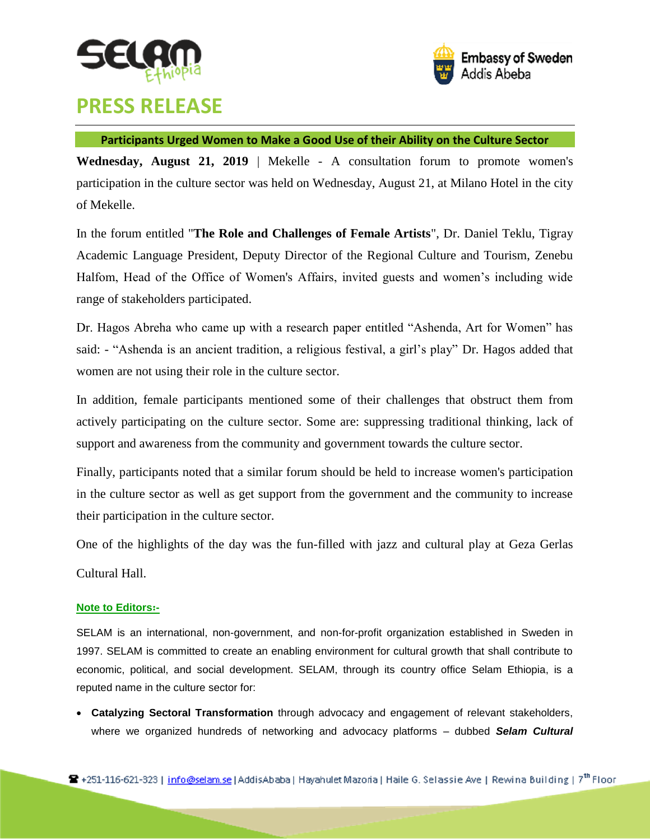



## **PRESS RELEASE**

## **Participants Urged Women to Make a Good Use of their Ability on the Culture Sector**

**Wednesday, August 21, 2019** | Mekelle - A consultation forum to promote women's participation in the culture sector was held on Wednesday, August 21, at Milano Hotel in the city of Mekelle.

In the forum entitled "**The Role and Challenges of Female Artists**", Dr. Daniel Teklu, Tigray Academic Language President, Deputy Director of the Regional Culture and Tourism, Zenebu Halfom, Head of the Office of Women's Affairs, invited guests and women's including wide range of stakeholders participated.

Dr. Hagos Abreha who came up with a research paper entitled "Ashenda, Art for Women" has said: - "Ashenda is an ancient tradition, a religious festival, a girl's play" Dr. Hagos added that women are not using their role in the culture sector.

In addition, female participants mentioned some of their challenges that obstruct them from actively participating on the culture sector. Some are: suppressing traditional thinking, lack of support and awareness from the community and government towards the culture sector.

Finally, participants noted that a similar forum should be held to increase women's participation in the culture sector as well as get support from the government and the community to increase their participation in the culture sector.

One of the highlights of the day was the fun-filled with jazz and cultural play at Geza Gerlas Cultural Hall.

## **Note to Editors**፡**-**

SELAM is an international, non-government, and non-for-profit organization established in Sweden in 1997. SELAM is committed to create an enabling environment for cultural growth that shall contribute to economic, political, and social development. SELAM, through its country office Selam Ethiopia, is a reputed name in the culture sector for:

 **Catalyzing Sectoral Transformation** through advocacy and engagement of relevant stakeholders, where we organized hundreds of networking and advocacy platforms – dubbed *Selam Cultural*